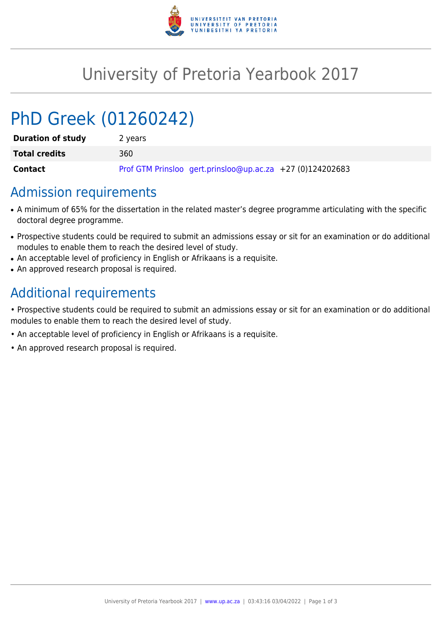

## University of Pretoria Yearbook 2017

# PhD Greek (01260242)

| <b>Duration of study</b> | 2 years                                                   |
|--------------------------|-----------------------------------------------------------|
| <b>Total credits</b>     | 360                                                       |
| Contact                  | Prof GTM Prinsloo gert.prinsloo@up.ac.za +27 (0)124202683 |

#### Admission requirements

- A minimum of 65% for the dissertation in the related master's degree programme articulating with the specific doctoral degree programme.
- Prospective students could be required to submit an admissions essay or sit for an examination or do additional modules to enable them to reach the desired level of study.
- An acceptable level of proficiency in English or Afrikaans is a requisite.
- An approved research proposal is required.

## Additional requirements

• Prospective students could be required to submit an admissions essay or sit for an examination or do additional modules to enable them to reach the desired level of study.

- An acceptable level of proficiency in English or Afrikaans is a requisite.
- An approved research proposal is required.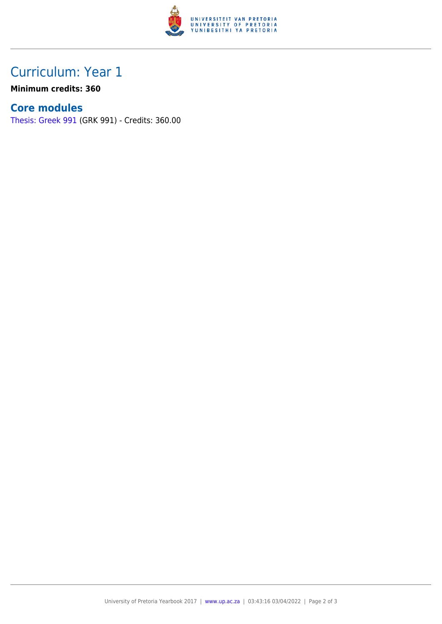

### Curriculum: Year 1

**Minimum credits: 360**

#### **Core modules**

[Thesis: Greek 991](https://www.up.ac.za/parents/yearbooks/2017/modules/view/GRK 991) (GRK 991) - Credits: 360.00